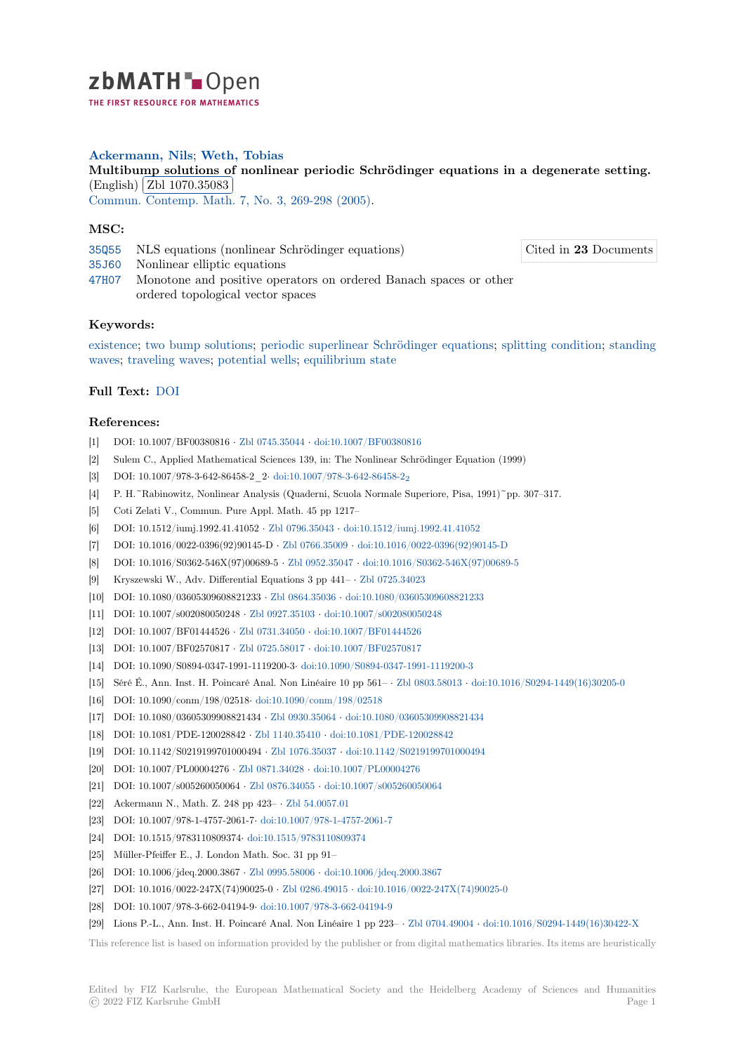

THE FIRST RESOURCE FOR MATHEMATICS

# **Ackermann, Nils**; **Weth, Tobias**

**[M](https://zbmath.org/)ultibump solutions of nonlinear periodic Schrödinger equations in a degenerate setting.**  $(N$ ultibulifip solutions  $\overline{C}$ <br>(English)  $\overline{Z}$ bl 1070.35083

✂ ✁ Commun. Contemp. Math. 7, No. 3, 269-298 (2005).

# **[MSC:](https://zbmath.org/1070.35083)**

- 35Q55 [NLS equations \(no](https://zbmath.org/1070.35083)nlinear Schrödinger equations)
- 35J60 [Nonlinear elliptic](https://zbmath.org/journals/?q=se:2619)[e](https://zbmath.org/journals/?q=se:2619)[quations](https://zbmath.org/?q=in:117420)
- 47H07 Monotone and positive operators on ordered Banach spaces or other ordered topological vector spaces

### **[Keyw](https://zbmath.org/classification/?q=cc:35J60)ords:**

[existen](https://zbmath.org/classification/?q=cc:47H07)ce; two bump solutions; periodic superlinear Schrödinger equations; splitting condition; standing waves; traveling waves; potential wells; equilibrium state

### **Full Text:** DOI

#### **[Refer](https://zbmath.org/?q=ut:standing+waves)[ences:](https://zbmath.org/?q=ut:traveling+waves)**

- [1] DOI: 10.1007/BF00380816 *·* Zbl 0745.35044 *·* doi:10.1007/BF00380816
- [2] Sulem C., [Appl](https://dx.doi.org/10.1142/S0219199705001763)ied Mathematical Sciences 139, in: The Nonlinear Schrödinger Equation (1999)
- [3] DOI: 10.1007/978-3-642-86458-2\_2*·* doi:10.1007/978-3-642-86458-2<sup>2</sup>
- [4] P. H.~Rabinowitz, Nonlinear Analysis (Quaderni, Scuola Normale Superiore, Pisa, 1991)~pp. 307–317.
- [5] Coti Zelati V., Commun. Pu[re Appl. Math.](https://zbmath.org/0745.35044)4[5 pp 1217–](https://dx.doi.org/10.1007/BF00380816)
- [6] DOI: 10.1512/iumj.1992.41.41052 *·* Zbl 0796.35043 *·* doi:10.1512/iumj.1992.41.41052
- [7] DOI: 10.1016/0022-0396(92)90145-D *·* [Zbl 0766.35009](https://dx.doi.org/10.1007/978-3-642-86458-2_2) *·* doi:10.1016/0022-0396(92)90145-D
- [8] DOI: 10.1016/S0362-546X(97)00689-5 *·* Zbl 0952.35047 *·* doi:10.1016/S0362-546X(97)00689-5
- [9] Kryszewski W., Adv. Differential Equations 3 pp 441– *·* Zbl 0725.34023
- [10] DOI: 10.1080/03605309608821233 *·* [Zbl 0864.35036](https://zbmath.org/0796.35043) *·* [doi:10.1080/03605309608821233](https://dx.doi.org/10.1512/iumj.1992.41.41052)
- [11] DOI: 10.1007/s002080050248 *·* Zbl 092[7.35103](https://zbmath.org/0766.35009) *·* doi:10.[1007/s002080050248](https://dx.doi.org/10.1016/0022-0396(92)90145-D)
- [12] DOI: 10.1007/BF01444526 *·* Zbl 0731.34050 *·* [doi:10.10](https://zbmath.org/0952.35047)0[7/BF01444526](https://dx.doi.org/10.1016/S0362-546X(97)00689-5)
- [13] DOI: 10.1007/BF02570817 *·* Zbl 0725.58017 *·* doi:10.100[7/BF02570817](https://zbmath.org/0725.34023)
- [14] DOI: 10.1090/S0894-0347-1991-1119200-3*·* [doi:10.10](https://zbmath.org/0864.35036)9[0/S0894-0347-1991-1119200-3](https://dx.doi.org/10.1080/03605309608821233)
- [15] Séré É., Ann. Inst. H. Poincaré [Anal. Non Lin](https://zbmath.org/0927.35103)é[aire 10 pp 561–](https://dx.doi.org/10.1007/s002080050248) *·* Zbl 0803.58013 *·* doi:10.1016/S0294-1449(16)30205-0
- [16] DOI: 10.1090/conm/198/02518*·* [doi:10.1090/](https://zbmath.org/0731.34050)c[onm/198/02518](https://dx.doi.org/10.1007/BF01444526)
- [17] DOI: 10.1080/03605309908821434 *·* [Zbl 0930](https://zbmath.org/0725.58017).35064 *·* [doi:10.1080/03605](https://dx.doi.org/10.1007/BF02570817)309908821434
- [18] DOI: 10.1081/PDE-120028842 *·* Zbl 1140.35410 *·* [doi:10.1081/PDE-120028842](https://dx.doi.org/10.1090/S0894-0347-1991-1119200-3)
- [19] DOI: 10.1142/S0219199701000494 *·* Zbl 1076.35037 *·* doi:10.1142[/S021919970100](https://zbmath.org/0803.58013)0[494](https://dx.doi.org/10.1016/S0294-1449(16)30205-0)
- [20] DOI: 10.1007/PL00004276 *·* Zbl 0871.34028 *·* [doi:10.1007/PL0](https://dx.doi.org/10.1090/conm/198/02518)0004276
- [21] DOI: 10.1007/s005260050064 *·* Zbl [0876.34055](https://zbmath.org/0930.35064) *·* doi:[10.1007/s005260050064](https://dx.doi.org/10.1080/03605309908821434)
- [22] Ackermann N., Math. Z. 248 pp 423– *·* [Zbl 54.0](https://zbmath.org/1140.35410)0[57.01](https://dx.doi.org/10.1081/PDE-120028842)
- [23] DOI: 10.1007/978-1-4757-2061-7*·* do[i:10.1007/978-1](https://zbmath.org/1076.35037)-4[757-2061-7](https://dx.doi.org/10.1142/S0219199701000494)
- [24] DOI: 10.1515/9783110809374*·* [doi:10.1515/9](https://zbmath.org/0871.34028)7[83110809374](https://dx.doi.org/10.1007/PL00004276)
- [25] Müller-Pfeiffer E., J. London [Math. Soc. 31 pp](https://zbmath.org/0876.34055) [91–](https://dx.doi.org/10.1007/s005260050064)
- [26] DOI: 10.1006/jdeq.2000.3867 *·* Zbl 099[5.58006](https://zbmath.org/54.0057.01) *·* doi:10.1006/jdeq.2000.3867
- [27] DOI: 10.1016/0022-247X(74)90025-0 *·* [Zbl 0286.49015](https://dx.doi.org/10.1007/978-1-4757-2061-7) *·* doi:10.1016/0022-247X(74)90025-0
- [28] DOI: 10.1007/978-3-662-04194-9*·* [doi:10.1007/978-3-662-04](https://dx.doi.org/10.1515/9783110809374)194-9
- [29] Lions P.-L., Ann. Inst. H. Poincaré Anal. Non Linéaire 1 pp 223– *·* Zbl 0704.49004 *·* doi:10.1016/S0294-1449(16)30422-X

This reference list is based on inform[ation pro](https://zbmath.org/0995.58006)[vided by the](https://zbmath.org/0286.49015)[p](https://zbmath.org/0286.49015)[ub](https://dx.doi.org/10.1006/jdeq.2000.3867)[lisher or from digital mathematics l](https://dx.doi.org/10.1016/0022-247X(74)90025-0)ibraries. Its items are heuristically

Cited in **23** Documents